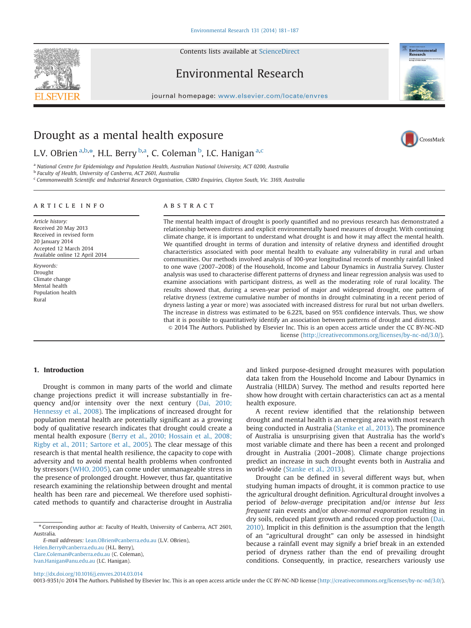

# Environmental Research

journal homepage: <www.elsevier.com/locate/envres>se $\mathcal{C}$ 



CrossMark

# Drought as a mental health exposure

L.V. OBrien <sup>a,b,\*</sup>, H.L. Berry <sup>b,a</sup>, C. Coleman <sup>b</sup>, I.C. Hanigan <sup>a,c</sup>

<sup>a</sup> National Centre for Epidemiology and Population Health, Australian National University, ACT 0200, Australia

<sup>b</sup> Faculty of Health, University of Canberra, ACT 2601, Australia

<sup>c</sup> Commonwealth Scientific and Industrial Research Organisation, CSIRO Enquiries, Clayton South, Vic. 3169, Australia

## article info

Article history: Received 20 May 2013 Received in revised form 20 January 2014 Accepted 12 March 2014 Available online 12 April 2014

Keywords: Drought Climate change Mental health Population health Rural

# ABSTRACT

The mental health impact of drought is poorly quantified and no previous research has demonstrated a relationship between distress and explicit environmentally based measures of drought. With continuing climate change, it is important to understand what drought is and how it may affect the mental health. We quantified drought in terms of duration and intensity of relative dryness and identified drought characteristics associated with poor mental health to evaluate any vulnerability in rural and urban communities. Our methods involved analysis of 100-year longitudinal records of monthly rainfall linked to one wave (2007–2008) of the Household, Income and Labour Dynamics in Australia Survey. Cluster analysis was used to characterise different patterns of dryness and linear regression analysis was used to examine associations with participant distress, as well as the moderating role of rural locality. The results showed that, during a seven-year period of major and widespread drought, one pattern of relative dryness (extreme cumulative number of months in drought culminating in a recent period of dryness lasting a year or more) was associated with increased distress for rural but not urban dwellers. The increase in distress was estimated to be 6.22%, based on 95% confidence intervals. Thus, we show that it is possible to quantitatively identify an association between patterns of drought and distress. & 2014 The Authors. Published by Elsevier Inc. This is an open access article under the CC BY-NC-ND

license (http://creativecommons.org/licenses/by-nc-nd/3.0/).

### 1. Introduction

Drought is common in many parts of the world and climate change projections predict it will increase substantially in frequency and/or intensity over the next century ([Dai, 2010;](#page-6-0) [Hennessy et al., 2008](#page-6-0)). The implications of increased drought for population mental health are potentially significant as a growing body of qualitative research indicates that drought could create a mental health exposure ([Berry et al., 2010; Hossain et al., 2008;](#page-6-0) [Rigby et al., 2011; Sartore et al., 2005\)](#page-6-0). The clear message of this research is that mental health resilience, the capacity to cope with adversity and to avoid mental health problems when confronted by stressors ([WHO, 2005\)](#page-6-0), can come under unmanageable stress in the presence of prolonged drought. However, thus far, quantitative research examining the relationship between drought and mental health has been rare and piecemeal. We therefore used sophisticated methods to quantify and characterise drought in Australia

E-mail addresses: [Lean.OBrien@canberra.edu.au](mailto:Lean.OBrien@canberra.edu.au) (L.V. OBrien),

[Helen.Berry@canberra.edu.au](mailto:Helen.Berry@canberra.edu.au) (H.L. Berry), [Clare.Coleman@canberra.edu.au](mailto:Clare.Coleman@canberra.edu.au) (C. Coleman),

[Ivan.Hanigan@anu.edu.au](mailto:Ivan.Hanigan@anu.edu.au) (I.C. Hanigan).

and linked purpose-designed drought measures with population data taken from the Household Income and Labour Dynamics in Australia (HILDA) Survey. The method and results reported here show how drought with certain characteristics can act as a mental health exposure.

A recent review identified that the relationship between drought and mental health is an emerging area with most research being conducted in Australia [\(Stanke et al., 2013\)](#page-6-0). The prominence of Australia is unsurprising given that Australia has the world's most variable climate and there has been a recent and prolonged drought in Australia (2001–2008). Climate change projections predict an increase in such drought events both in Australia and world-wide ([Stanke et al., 2013](#page-6-0)).

Drought can be defined in several different ways but, when studying human impacts of drought, it is common practice to use the agricultural drought definition. Agricultural drought involves a period of below-average precipitation and/or intense but less frequent rain events and/or above-normal evaporation resulting in dry soils, reduced plant growth and reduced crop production [\(Dai,](#page-6-0) [2010\)](#page-6-0). Implicit in this definition is the assumption that the length of an "agricultural drought" can only be assessed in hindsight because a rainfall event may signify a brief break in an extended period of dryness rather than the end of prevailing drought conditions. Consequently, in practice, researchers variously use

<http://dx.doi.org/10.1016/j.envres.2014.03.014>

0013-9351/& 2014 The Authors. Published by Elsevier Inc. This is an open access article under the CC BY-NC-ND license (http://creativecommons.org/licenses/by-nc-nd/3.0/).

<sup>n</sup> Corresponding author at: Faculty of Health, University of Canberra, ACT 2601, Australia.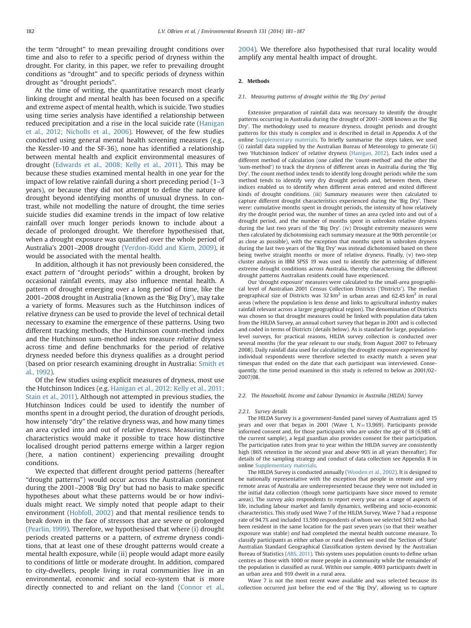the term "drought" to mean prevailing drought conditions over time and also to refer to a specific period of dryness within the drought. For clarity, in this paper, we refer to prevailing drought conditions as "drought" and to specific periods of dryness within drought as "drought periods".

At the time of writing, the quantitative research most clearly linking drought and mental health has been focused on a specific and extreme aspect of mental health, which is suicide. Two studies using time series analysis have identified a relationship between reduced precipitation and a rise in the local suicide rate [\(Hanigan](#page-6-0) [et al., 2012; Nicholls et al., 2006\)](#page-6-0). However, of the few studies conducted using general mental health screening measures (e.g., the Kessler-10 and the SF-36), none has identified a relationship between mental health and explicit environmental measures of drought [\(Edwards et al., 2008; Kelly et al., 2011\)](#page-6-0). This may be because these studies examined mental health in one year for the impact of low relative rainfall during a short preceding period (1–3 years), or because they did not attempt to define the nature of drought beyond identifying months of unusual dryness. In contrast, while not modelling the nature of drought, the time series suicide studies did examine trends in the impact of low relative rainfall over much longer periods known to include about a decade of prolonged drought. We therefore hypothesised that, when a drought exposure was quantified over the whole period of Australia's 2001–2008 drought [\(Verdon-Kidd and Kiem, 2009](#page-6-0)), it would be associated with the mental health.

In addition, although it has not previously been considered, the exact pattern of "drought periods" within a drought, broken by occasional rainfall events, may also influence mental health. A pattern of drought emerging over a long period of time, like the 2001–2008 drought in Australia (known as the 'Big Dry'), may take a variety of forms. Measures such as the Hutchinson indices of relative dryness can be used to provide the level of technical detail necessary to examine the emergence of these patterns. Using two different tracking methods, the Hutchinson count-method index and the Hutchinson sum-method index measure relative dryness across time and define benchmarks for the period of relative dryness needed before this dryness qualifies as a drought period (based on prior research examining drought in Australia: [Smith et](#page-6-0) [al., 1992\)](#page-6-0).

Of the few studies using explicit measures of dryness, most use the Hutchinson Indices (e.g. [Hanigan et al., 2012; Kelly et al., 2011;](#page-6-0) [Stain et al., 2011](#page-6-0)). Although not attempted in previous studies, the Hutchinson Indices could be used to identify the number of months spent in a drought period, the duration of drought periods, how intensely "dry" the relative dryness was, and how many times an area cycled into and out of relative dryness. Measuring these characteristics would make it possible to trace how distinctive localised drought period patterns emerge within a larger region (here, a nation continent) experiencing prevailing drought conditions.

We expected that different drought period patterns (hereafter "drought patterns") would occur across the Australian continent during the 2001–2008 'Big Dry' but had no basis to make specific hypotheses about what these patterns would be or how individuals might react. We simply noted that people adapt to their environment [\(Hobfoll, 2002](#page-6-0)) and that mental resilience tends to break down in the face of stressors that are severe or prolonged ([Pearlin, 1999](#page-6-0)). Therefore, we hypothesised that where (i) drought periods created patterns or a pattern, of extreme dryness conditions, that at least one of these drought patterns would create a mental health exposure, while (ii) people would adapt more easily to conditions of little or moderate drought. In addition, compared to city-dwellers, people living in rural communities live in an environmental, economic and social eco-system that is more directly connected to and reliant on the land [\(Connor et al.,](#page-6-0) [2004](#page-6-0)). We therefore also hypothesised that rural locality would amplify any mental health impact of drought.

#### 2. Methods

#### 2.1. Measuring patterns of drought within the 'Big Dry' period

Extensive preparation of rainfall data was necessary to identify the drought patterns occurring in Australia during the drought of 2001–2008 known as the 'Big Dry'. The methodology used to measure dryness, drought periods and drought patterns for this study is complex and is described in detail in Appendix A of the online [Supplementary materials.](#page-6-0) To briefly summarise the steps taken, we used (i) rainfall data supplied by the Australian Bureau of Meteorology to generate (ii) two 'Hutchinson Indices' of relative dryness [\(Hanigan, 2012\)](#page-6-0). Each index used a different method of calculation (one called the 'count-method' and the other the 'sum-method') to track the dryness of different areas in Australia during the 'Big Dry'. The count method index tends to identify long drought periods while the sum method tends to identify very dry drought periods and, between them, these indices enabled us to identify when different areas entered and exited different kinds of drought conditions. (iii) Summary measures were then calculated to capture different drought characteristics experienced during the 'Big Dry'. These were: cumulative months spent in drought periods, the intensity of how relatively dry the drought period was, the number of times an area cycled into and out of a drought period, and the number of months spent in unbroken relative dryness during the last two years of the 'Big Dry'. (iv) Drought extremity measures were then calculated by dichotomising each summary measure at the 90th percentile (or as close as possible), with the exception that months spent in unbroken dryness during the last two years of the 'Big Dry' was instead dichotomised based on there being twelve straight months or more of relative dryness. Finally, (v) two-step cluster analysis in IBM SPSS 19 was used to identify the patterning of different extreme drought conditions across Australia, thereby characterising the different drought patterns Australian residents could have experienced.

Our 'drought exposure' measures were calculated to the small-area geographical level of Australian 2001 Census Collection Districts ('Districts'). The median geographical size of Districts was 32  $km^2$  in urban areas and 62.45  $km^2$  in rural areas (where the population is less dense and links to agricultural industry makes rainfall relevant across a larger geographical region). The denomination of Districts was chosen so that drought measures could be linked with population data taken from the HILDA Survey, an annual cohort survey that began in 2001 and is collected and coded in terms of Districts (details below). As is standard for large, populationlevel surveys, for practical reasons, HILDA survey collection is conducted over several months (for the year relevant to our study, from August 2007 to February 2008). Daily rainfall data used for calculating the drought exposure experienced by individual respondents were therefore selected to exactly match a seven year timespan that ended on the date that each participant was interviewed. Consequently, the time period examined in this study is referred to below as 2001/02– 2007/08.

#### 2.2. The Household, Income and Labour Dynamics in Australia (HILDA) Survey

#### 2.2.1. Survey details

The HILDA Survey is a government-funded panel survey of Australians aged 15 years and over that began in 2001 (Wave 1,  $N=13,969$ ). Participants provide informed consent and, for those participants who are under the age of 18 (6.98% of the current sample), a legal guardian also provides consent for their participation. The participation rates from year to year within the HILDA survey are consistently high (86% retention in the second year and above 90% in all years thereafter). For details of the sampling strategy and conduct of data collection see Appendix B in online [Supplementary materials.](#page-6-0)

The HILDA Survey is conducted annually [\(Wooden et al., 2002\)](#page-6-0). It is designed to be nationally representative with the exception that people in remote and very remote areas of Australia are underrepresented because they were not included in the initial data collection (though some participants have since moved to remote areas). The survey asks respondents to report every year on a range of aspects of life, including labour market and family dynamics, wellbeing and socio-economic characteristics. This study used Wave 7 of the HILDA Survey, Wave 7 had a response rate of 94.7% and included 13,590 respondents of whom we selected 5012 who had been resident in the same location for the past seven years (so that their weather exposure was stable) and had completed the mental health outcome measure. To classify participants as either urban or rural dwellers we used the 'Section of State' Australian Standard Geographical Classification system devised by the Australian Bureau of Statistics [\(ABS, 2011](#page-6-0)). This system uses population counts to define urban centres as those with 1000 or more people in a community while the remainder of the population is classified as rural. Within our sample, 4093 participants dwelt in an urban area and 919 dwelt in a rural area.

Wave 7 is not the most recent wave available and was selected because its collection occurred just before the end of the 'Big Dry', allowing us to capture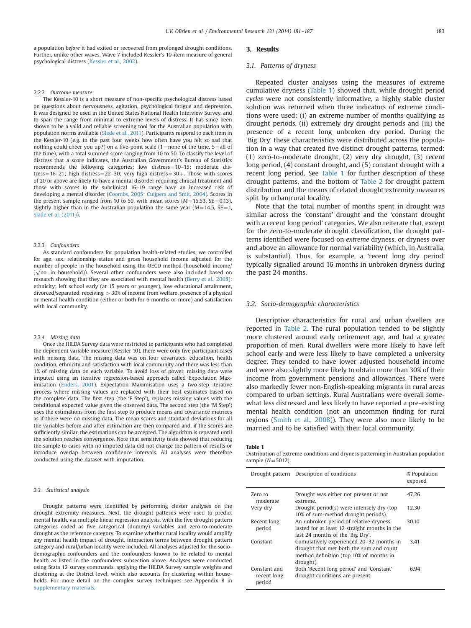a population before it had exited or recovered from prolonged drought conditions. Further, unlike other waves, Wave 7 included Kessler's 10-item measure of general psychological distress [\(Kessler et al., 2002\)](#page-6-0).

#### 2.2.2. Outcome measure

The Kessler-10 is a short measure of non-specific psychological distress based on questions about nervousness, agitation, psychological fatigue and depression. It was designed be used in the United States National Health Interview Survey, and to span the range from minimal to extreme levels of distress. It has since been shown to be a valid and reliable screening tool for the Australian population with population norms available [\(Slade et al., 2011\)](#page-6-0). Participants respond to each item in the Kessler-10 (e.g. in the past four weeks how often have you felt so sad that nothing could cheer you up?) on a five-point scale  $(1)$ =none of the time,  $5)$ = all of the time), with a total summed score ranging from 10 to 50. To classify the level of distress that a score indicates, the Australian Government's Bureau of Statistics recommends the following categories: low distress = 10-15; moderate distress=16-21; high distress=22-30; very high distress=30+. Those with scores of 20 or above are likely to have a mental disorder requiring clinical treatment and those with scores in the subclinical 16–19 range have an increased risk of developing a mental disorder ([Coombs, 2005; Cuijpers and Smit, 2004\)](#page-6-0). Scores in the present sample ranged from 10 to 50, with mean scores  $(M=15.53, SE=0.13)$ , slightly higher than in the Australian population the same year  $(M=14.5, SE=1,$ [Slade et al. \(2011\)](#page-6-0)).

#### 2.2.3. Confounders

As standard confounders for population health-related studies, we controlled for age, sex, relationship status and gross household income adjusted for the number of people in the household using the OECD method (household income/  $(\sqrt{no}$  in household)). Several other confounders were also included based on research showing that they are associated with mental health [\(Berry et al., 2008\)](#page-6-0): ethnicity; left school early (at 15 years or younger), low educational attainment, divorced/separated, receiving  $>$  30% of income from welfare, presence of a physical or mental health condition (either or both for 6 months or more) and satisfaction with local community.

#### 2.2.4. Missing data

Once the HILDA Survey data were restricted to participants who had completed the dependent variable measure (Kessler 10), there were only five participant cases with missing data. The missing data was on four covariates: education, health condition, ethnicity and satisfaction with local community and there was less than 1% of missing data on each variable. To avoid loss of power, missing data were imputed using an iterative regression-based approach called Expectation Maximisation [\(Enders, 2001\)](#page-6-0). Expectation Maximisation uses a two-step iterative process where missing values are replaced with their best estimates based on the complete data. The first step (the 'E Step'), replaces missing values with the conditional expected value given the observed data. The second step (the 'M Step') uses the estimations from the first step to produce means and covariance matrices as if there were no missing data. The mean scores and standard deviations for all the variables before and after estimation are then compared and, if the scores are sufficiently similar, the estimations can be accepted. The algorithm is repeated until the solution reaches convergence. Note that sensitivity tests showed that reducing the sample to cases with no imputed data did not change the pattern of results or introduce overlap between confidence intervals. All analyses were therefore conducted using the dataset with imputation.

#### 2.3. Statistical analysis

Drought patterns were identified by performing cluster analyses on the drought extremity measures. Next, the drought patterns were used to predict mental health, via multiple linear regression analysis, with the five drought pattern categories coded as five categorical (dummy) variables and zero-to-moderate drought as the reference category. To examine whether rural locality would amplify any mental health impact of drought, interaction terms between drought pattern category and rural/urban locality were included. All analyses adjusted for the sociodemographic confounders and the confounders known to be related to mental health as listed in the confounders subsection above. Analyses were conducted using Stata 12 survey commands, applying the HILDA Survey sample weights and clustering at the District level, which also accounts for clustering within households. For more detail on the complex survey techniques see Appendix B in [Supplementary materials](#page-6-0).

### 3. Results

#### 3.1. Patterns of dryness

Repeated cluster analyses using the measures of extreme cumulative dryness (Table 1) showed that, while drought period cycles were not consistently informative, a highly stable cluster solution was returned when three indicators of extreme conditions were used: (i) an extreme number of months qualifying as drought periods, (ii) extremely dry drought periods and (iii) the presence of a recent long unbroken dry period. During the 'Big Dry' these characteristics were distributed across the population in a way that created five distinct drought patterns, termed: (1) zero-to-moderate drought, (2) very dry drought, (3) recent long period, (4) constant drought, and (5) constant drought with a recent long period. See Table 1 for further description of these drought patterns, and the bottom of [Table 2](#page-3-0) for drought pattern distribution and the means of related drought extremity measures split by urban/rural locality.

Note that the total number of months spent in drought was similar across the 'constant' drought and the 'constant drought with a recent long period' categories. We also reiterate that, except for the zero-to-moderate drought classification, the drought patterns identified were focused on extreme dryness, or dryness over and above an allowance for normal variability (which, in Australia, is substantial). Thus, for example, a 'recent long dry period' typically signalled around 16 months in unbroken dryness during the past 24 months.

#### 3.2. Socio-demographic characteristics

Descriptive characteristics for rural and urban dwellers are reported in [Table 2](#page-3-0). The rural population tended to be slightly more clustered around early retirement age, and had a greater proportion of men. Rural dwellers were more likely to have left school early and were less likely to have completed a university degree. They tended to have lower adjusted household income and were also slightly more likely to obtain more than 30% of their income from government pensions and allowances. There were also markedly fewer non-English-speaking migrants in rural areas compared to urban settings. Rural Australians were overall somewhat less distressed and less likely to have reported a pre-existing mental health condition (not an uncommon finding for rural regions [\(Smith et al., 2008\)](#page-6-0)). They were also more likely to be married and to be satisfied with their local community.

#### Table 1

Distribution of extreme conditions and dryness patterning in Australian population sample  $(N=5012)$ .

|                                       | Drought pattern Description of conditions                                                                                                   | % Population<br>exposed |
|---------------------------------------|---------------------------------------------------------------------------------------------------------------------------------------------|-------------------------|
| Zero to<br>moderate                   | Drought was either not present or not<br>extreme.                                                                                           | 47.26                   |
| Very dry                              | Drought period(s) were intensely dry (top<br>10% of sum-method drought periods).                                                            | 12.30                   |
| Recent long<br>period                 | An unbroken period of relative dryness<br>lasted for at least 12 straight months in the<br>last 24 months of the 'Big Dry'.                 | 30.10                   |
| Constant                              | Cumulatively experienced 20-32 months in<br>drought that met both the sum and count<br>method definition (top 10% of months in<br>drought). | 3.41                    |
| Constant and<br>recent long<br>period | Both 'Recent long period' and 'Constant'<br>drought conditions are present.                                                                 | 6.94                    |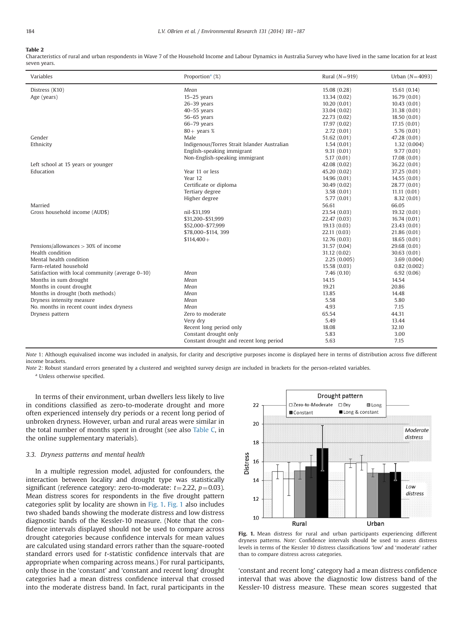## <span id="page-3-0"></span>Table 2

Characteristics of rural and urban respondents in Wave 7 of the Household Income and Labour Dynamics in Australia Survey who have lived in the same location for at least seven years.

| Variables                                        | Proportion <sup>a</sup> $(\%)$               | Rural $(N=919)$ | Urban $(N=4093)$ |
|--------------------------------------------------|----------------------------------------------|-----------------|------------------|
| Distress (K10)                                   | Mean                                         | 15.08 (0.28)    | 15.61(0.14)      |
| Age (years)                                      | $15-25$ years                                | 13.34 (0.02)    | 16.79(0.01)      |
|                                                  | $26-39$ years                                | 10.20(0.01)     | 10.43(0.01)      |
|                                                  | $40-55$ years                                | 33.04 (0.02)    | 31.38 (0.01)     |
|                                                  | $56-65$ years                                | 22.73 (0.02)    | 18.50 (0.01)     |
|                                                  | $66-79$ years                                | 17.97 (0.02)    | 17.15(0.01)      |
|                                                  | $80+$ years %                                | 2.72(0.01)      | 5.76(0.01)       |
| Gender                                           | Male                                         | 51.62(0.01)     | 47.28 (0.01)     |
| Ethnicity                                        | Indigenous/Torres Strait Islander Australian | 1.54(0.01)      | 1.32(0.004)      |
|                                                  | English-speaking immigrant                   | 9.31(0.01)      | 9.77(0.01)       |
|                                                  | Non-English-speaking immigrant               | 5.17(0.01)      | 17.08(0.01)      |
| Left school at 15 years or younger               |                                              | 42.08 (0.02)    | 36.22 (0.01)     |
| Education                                        | Year 11 or less                              | 45.20 (0.02)    | 37.25 (0.01)     |
|                                                  | Year 12                                      | 14.96 (0.01)    | 14.55(0.01)      |
|                                                  | Certificate or diploma                       | 30.49 (0.02)    | 28.77 (0.01)     |
|                                                  | Tertiary degree                              | 3.58(0.01)      | 11.11(0.01)      |
|                                                  | Higher degree                                | 5.77(0.01)      | 8.32(0.01)       |
| Married                                          |                                              | 56.61           | 66.05            |
| Gross household income (AUD\$)                   | nil-\$31,199                                 | 23.54 (0.03)    | 19.32(0.01)      |
|                                                  | \$31,200-\$51,999                            | 22.47 (0.03)    | 16.74(0.01)      |
|                                                  | \$52,000-\$77,999                            | 19.13 (0.03)    | 23.43 (0.01)     |
|                                                  | \$78,000-\$114, 399                          | 22.11 (0.03)    | 21.86 (0.01)     |
|                                                  | $$114,400+$                                  | 12.76 (0.03)    | 18.65(0.01)      |
| Pensions/allowances > 30% of income              |                                              | 31.57 (0.04)    | 29.68 (0.01)     |
| Health condition                                 |                                              | 31.12 (0.02)    | 30.63(0.01)      |
| Mental health condition                          |                                              | 2.25(0.005)     | 3.69(0.004)      |
| Farm-related household                           |                                              | 15.58 (0.03)    | 0.82(0.002)      |
| Satisfaction with local community (average 0-10) | Mean                                         | 7.46(0.10)      | 6.92(0.06)       |
| Months in sum drought                            | Mean                                         | 14.15           | 14.54            |
| Months in count drought                          | Mean                                         | 19.21           | 20.86            |
| Months in drought (both methods)                 | Mean                                         | 13.85           | 14.48            |
| Dryness intensity measure                        | Mean                                         | 5.58            | 5.80             |
| No. months in recent count index dryness         | Mean                                         | 4.93            | 7.15             |
| Dryness pattern                                  | Zero to moderate                             | 65.54           | 44.31            |
|                                                  | Very dry                                     | 5.49            | 13.44            |
|                                                  | Recent long period only                      | 18.08           | 32.10            |
|                                                  | Constant drought only                        | 5.83            | 3.00             |
|                                                  | Constant drought and recent long period      | 5.63            | 7.15             |

Note 1: Although equivalised income was included in analysis, for clarity and descriptive purposes income is displayed here in terms of distribution across five different income brackets.

Note 2: Robust standard errors generated by a clustered and weighted survey design are included in brackets for the person-related variables.

<sup>a</sup> Unless otherwise specified.

In terms of their environment, urban dwellers less likely to live in conditions classified as zero-to-moderate drought and more often experienced intensely dry periods or a recent long period of unbroken dryness. However, urban and rural areas were similar in the total number of months spent in drought (see also [Table C,](#page-6-0) in the online supplementary materials).

#### 3.3. Dryness patterns and mental health

In a multiple regression model, adjusted for confounders, the interaction between locality and drought type was statistically significant (reference category: zero-to-moderate:  $t=2.22$ ,  $p=0.03$ ). Mean distress scores for respondents in the five drought pattern categories split by locality are shown in Fig. 1. Fig. 1 also includes two shaded bands showing the moderate distress and low distress diagnostic bands of the Kessler-10 measure. (Note that the confidence intervals displayed should not be used to compare across drought categories because confidence intervals for mean values are calculated using standard errors rather than the square-rooted standard errors used for t-statistic confidence intervals that are appropriate when comparing across means.) For rural participants, only those in the 'constant' and 'constant and recent long' drought categories had a mean distress confidence interval that crossed into the moderate distress band. In fact, rural participants in the



Fig. 1. Mean distress for rural and urban participants experiencing different dryness patterns. Note: Confidence intervals should be used to assess distress levels in terms of the Kessler 10 distress classifications 'low' and 'moderate' rather than to compare distress across categories.

'constant and recent long' category had a mean distress confidence interval that was above the diagnostic low distress band of the Kessler-10 distress measure. These mean scores suggested that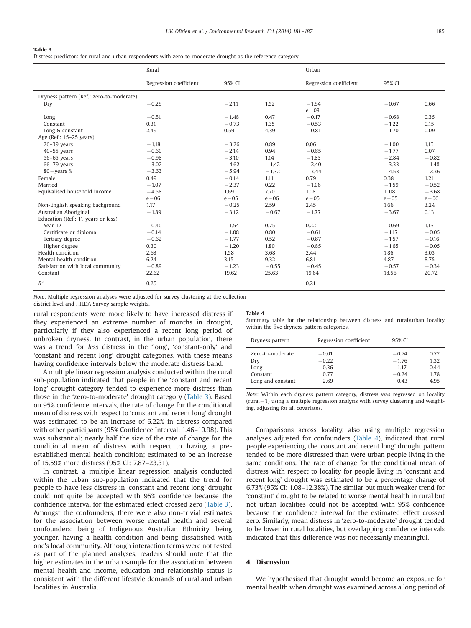#### Table 3

Distress predictors for rural and urban respondents with zero-to-moderate drought as the reference category.

|                                          | Rural                  |           |          | Urban                  |          |          |
|------------------------------------------|------------------------|-----------|----------|------------------------|----------|----------|
|                                          | Regression coefficient | 95% CI    |          | Regression coefficient | 95% CI   |          |
| Dryness pattern (Ref.: zero-to-moderate) |                        |           |          |                        |          |          |
| Dry                                      | $-0.29$                | $-2.11$   | 1.52     | $-1.94$                | $-0.67$  | 0.66     |
|                                          |                        |           |          | $e - 03$               |          |          |
| Long                                     | $-0.51$                | $-1.48$   | 0.47     | $-0.17$                | $-0.68$  | 0.35     |
| Constant                                 | 0.31                   | $-0.73$   | 1.35     | $-0.53$                | $-1.22$  | 0.15     |
| Long & constant                          | 2.49                   | 0.59      | 4.39     | $-0.81$                | $-1.70$  | 0.09     |
| Age (Ref.: 15-25 years)                  |                        |           |          |                        |          |          |
| $26-39$ years                            | $-1.18$                | $-3.26$   | 0.89     | 0.06                   | $-1.00$  | 1.13     |
| $40-55$ years                            | $-0.60$                | $-2.14$   | 0.94     | $-0.85$                | $-1.77$  | 0.07     |
| 56-65 years                              | $-0.98$                | $-3.10$   | 1.14     | $-1.83$                | $-2.84$  | $-0.82$  |
| $66-79$ years                            | $-3.02$                | $-4.62$   | $-1.42$  | $-2.40$                | $-3.33$  | $-1.48$  |
| $80 + \text{years}$ %                    | $-3.63$                | $-5.94$   | $-1.32$  | $-3.44$                | $-4.53$  | $-2.36$  |
| Female                                   | 0.49                   | $-0.14$   | 1.11     | 0.79                   | 0.38     | 1.21     |
| Married                                  | $-1.07$                | $-2.37$   | 0.22     | $-1.06$                | $-1.59$  | $-0.52$  |
| Equivalised household income             | $-4.58$                | 1.69      | 7.70     | 1.08                   | 1.08     | $-3.68$  |
|                                          | $e - 06$               | $e - 0.5$ | $e - 06$ | $e - 05$               | $e - 05$ | $e - 06$ |
| Non-English speaking background          | 1.17                   | $-0.25$   | 2.59     | 2.45                   | 1.66     | 3.24     |
| Australian Aboriginal                    | $-1.89$                | $-3.12$   | $-0.67$  | $-1.77$                | $-3.67$  | 0.13     |
| Education (Ref.: 11 years or less)       |                        |           |          |                        |          |          |
| Year 12                                  | $-0.40$                | $-1.54$   | 0.75     | 0.22                   | $-0.69$  | 1.13     |
| Certificate or diploma                   | $-0.14$                | $-1.08$   | 0.80     | $-0.61$                | $-1.17$  | $-0.05$  |
| Tertiary degree                          | $-0.62$                | $-1.77$   | 0.52     | $-0.87$                | $-1.57$  | $-0.16$  |
| Higher degree                            | 0.30                   | $-1.20$   | 1.80     | $-0.85$                | $-1.65$  | $-0.05$  |
| Health condition                         | 2.63                   | 1.58      | 3.68     | 2.44                   | 1.86     | 3.03     |
| Mental health condition                  | 6.24                   | 3.15      | 9.32     | 6.81                   | 4.87     | 8.75     |
| Satisfaction with local community        | $-0.89$                | $-1.23$   | $-0.55$  | $-0.45$                | $-0.57$  | $-0.34$  |
| Constant                                 | 22.62                  | 19.62     | 25.63    | 19.64                  | 18.56    | 20.72    |
| $R^2$                                    | 0.25                   |           |          | 0.21                   |          |          |

Note: Multiple regression analyses were adjusted for survey clustering at the collection

district level and HILDA Survey sample weights.

rural respondents were more likely to have increased distress if they experienced an extreme number of months in drought, particularly if they also experienced a recent long period of unbroken dryness. In contrast, in the urban population, there was a trend for less distress in the 'long', 'constant-only' and 'constant and recent long' drought categories, with these means having confidence intervals below the moderate distress band.

A multiple linear regression analysis conducted within the rural sub-population indicated that people in the 'constant and recent long' drought category tended to experience more distress than those in the 'zero-to-moderate' drought category (Table 3). Based on 95% confidence intervals, the rate of change for the conditional mean of distress with respect to 'constant and recent long' drought was estimated to be an increase of 6.22% in distress compared with other participants (95% Confidence Interval: 1.46–10.98). This was substantial: nearly half the size of the rate of change for the conditional mean of distress with respect to having a preestablished mental health condition; estimated to be an increase of 15.59% more distress (95% CI: 7.87–23.31).

In contrast, a multiple linear regression analysis conducted within the urban sub-population indicated that the trend for people to have less distress in 'constant and recent long' drought could not quite be accepted with 95% confidence because the confidence interval for the estimated effect crossed zero (Table 3). Amongst the confounders, there were also non-trivial estimates for the association between worse mental health and several confounders: being of Indigenous Australian Ethnicity, being younger, having a health condition and being dissatisfied with one's local community. Although interaction terms were not tested as part of the planned analyses, readers should note that the higher estimates in the urban sample for the association between mental health and income, education and relationship status is consistent with the different lifestyle demands of rural and urban localities in Australia.

#### Table 4

Summary table for the relationship between distress and rural/urban locality within the five dryness pattern categories.

| Dryness pattern   | Regression coefficient | 95% CI  |      |
|-------------------|------------------------|---------|------|
| Zero-to-moderate  | $-0.01$                | $-0.74$ | 0.72 |
| Dry               | $-0.22$                | $-1.76$ | 1.32 |
| Long              | $-0.36$                | $-1.17$ | 0.44 |
| Constant          | 0.77                   | $-0.24$ | 1.78 |
| Long and constant | 2.69                   | 0.43    | 4.95 |

Note: Within each dryness pattern category, distress was regressed on locality  $(rural=1)$  using a multiple regression analysis with survey clustering and weighting, adjusting for all covariates.

Comparisons across locality, also using multiple regression analyses adjusted for confounders (Table 4), indicated that rural people experiencing the 'constant and recent long' drought pattern tended to be more distressed than were urban people living in the same conditions. The rate of change for the conditional mean of distress with respect to locality for people living in 'constant and recent long' drought was estimated to be a percentage change of 6.73% (95% CI: 1.08–12.38%). The similar but much weaker trend for 'constant' drought to be related to worse mental health in rural but not urban localities could not be accepted with 95% confidence because the confidence interval for the estimated effect crossed zero. Similarly, mean distress in 'zero-to-moderate' drought tended to be lower in rural localities, but overlapping confidence intervals indicated that this difference was not necessarily meaningful.

## 4. Discussion

We hypothesised that drought would become an exposure for mental health when drought was examined across a long period of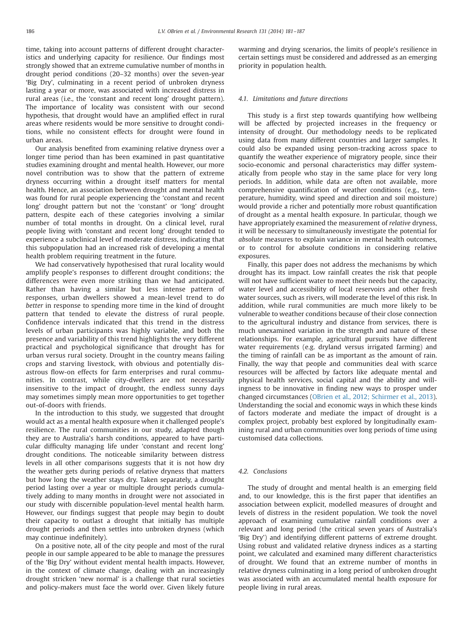time, taking into account patterns of different drought characteristics and underlying capacity for resilience. Our findings most strongly showed that an extreme cumulative number of months in drought period conditions (20–32 months) over the seven-year 'Big Dry', culminating in a recent period of unbroken dryness lasting a year or more, was associated with increased distress in rural areas (i.e., the 'constant and recent long' drought pattern). The importance of locality was consistent with our second hypothesis, that drought would have an amplified effect in rural areas where residents would be more sensitive to drought conditions, while no consistent effects for drought were found in urban areas.

Our analysis benefited from examining relative dryness over a longer time period than has been examined in past quantitative studies examining drought and mental health. However, our more novel contribution was to show that the pattern of extreme dryness occurring within a drought itself matters for mental health. Hence, an association between drought and mental health was found for rural people experiencing the 'constant and recent long' drought pattern but not the 'constant' or 'long' drought pattern, despite each of these categories involving a similar number of total months in drought. On a clinical level, rural people living with 'constant and recent long' drought tended to experience a subclinical level of moderate distress, indicating that this subpopulation had an increased risk of developing a mental health problem requiring treatment in the future.

We had conservatively hypothesised that rural locality would amplify people's responses to different drought conditions; the differences were even more striking than we had anticipated. Rather than having a similar but less intense pattern of responses, urban dwellers showed a mean-level trend to do better in response to spending more time in the kind of drought pattern that tended to elevate the distress of rural people. Confidence intervals indicated that this trend in the distress levels of urban participants was highly variable, and both the presence and variability of this trend highlights the very different practical and psychological significance that drought has for urban versus rural society. Drought in the country means failing crops and starving livestock, with obvious and potentially disastrous flow-on effects for farm enterprises and rural communities. In contrast, while city-dwellers are not necessarily insensitive to the impact of drought, the endless sunny days may sometimes simply mean more opportunities to get together out-of-doors with friends.

In the introduction to this study, we suggested that drought would act as a mental health exposure when it challenged people's resilience. The rural communities in our study, adapted though they are to Australia's harsh conditions, appeared to have particular difficulty managing life under 'constant and recent long' drought conditions. The noticeable similarity between distress levels in all other comparisons suggests that it is not how dry the weather gets during periods of relative dryness that matters but how long the weather stays dry. Taken separately, a drought period lasting over a year or multiple drought periods cumulatively adding to many months in drought were not associated in our study with discernible population-level mental health harm. However, our findings suggest that people may begin to doubt their capacity to outlast a drought that initially has multiple drought periods and then settles into unbroken dryness (which may continue indefinitely).

On a positive note, all of the city people and most of the rural people in our sample appeared to be able to manage the pressures of the 'Big Dry' without evident mental health impacts. However, in the context of climate change, dealing with an increasingly drought stricken 'new normal' is a challenge that rural societies and policy-makers must face the world over. Given likely future warming and drying scenarios, the limits of people's resilience in certain settings must be considered and addressed as an emerging priority in population health.

#### 4.1. Limitations and future directions

This study is a first step towards quantifying how wellbeing will be affected by projected increases in the frequency or intensity of drought. Our methodology needs to be replicated using data from many different countries and larger samples. It could also be expanded using person-tracking across space to quantify the weather experience of migratory people, since their socio-economic and personal characteristics may differ systematically from people who stay in the same place for very long periods. In addition, while data are often not available, more comprehensive quantification of weather conditions (e.g., temperature, humidity, wind speed and direction and soil moisture) would provide a richer and potentially more robust quantification of drought as a mental health exposure. In particular, though we have appropriately examined the measurement of relative dryness, it will be necessary to simultaneously investigate the potential for absolute measures to explain variance in mental health outcomes, or to control for absolute conditions in considering relative exposures.

Finally, this paper does not address the mechanisms by which drought has its impact. Low rainfall creates the risk that people will not have sufficient water to meet their needs but the capacity, water level and accessibility of local reservoirs and other fresh water sources, such as rivers, will moderate the level of this risk. In addition, while rural communities are much more likely to be vulnerable to weather conditions because of their close connection to the agricultural industry and distance from services, there is much unexamined variation in the strength and nature of these relationships. For example, agricultural pursuits have different water requirements (e.g. dryland versus irrigated farming) and the timing of rainfall can be as important as the amount of rain. Finally, the way that people and communities deal with scarce resources will be affected by factors like adequate mental and physical health services, social capital and the ability and willingness to be innovative in finding new ways to prosper under changed circumstances [\(OBrien et al., 2012; Schirmer et al., 2013\)](#page-6-0). Understanding the social and economic ways in which these kinds of factors moderate and mediate the impact of drought is a complex project, probably best explored by longitudinally examining rural and urban communities over long periods of time using customised data collections.

### 4.2. Conclusions

The study of drought and mental health is an emerging field and, to our knowledge, this is the first paper that identifies an association between explicit, modelled measures of drought and levels of distress in the resident population. We took the novel approach of examining cumulative rainfall conditions over a relevant and long period (the critical seven years of Australia's 'Big Dry') and identifying different patterns of extreme drought. Using robust and validated relative dryness indices as a starting point, we calculated and examined many different characteristics of drought. We found that an extreme number of months in relative dryness culminating in a long period of unbroken drought was associated with an accumulated mental health exposure for people living in rural areas.